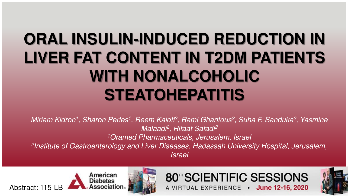# **ORAL INSULIN-INDUCED REDUCTION IN LIVER FAT CONTENT IN T2DM PATIENTS WITH NONALCOHOLIC STEATOHEPATITIS**

Miriam Kidron<sup>1</sup>, Sharon Perles<sup>1</sup>, Reem Kaloti<sup>2</sup>, Rami Ghantous<sup>2</sup>, Suha F. Sanduka<sup>2</sup>, Yasmine Malaadi<sup>2</sup>, Rifaat Safadi<sup>2</sup> <sup>1</sup>Oramed Pharmaceuticals, Jerusalem, Israel 2 Institute of Gastroenterology and Liver Diseases, Hadassah University Hospital, Jerusalem, Israel





#### 80<sup>™</sup>SCIENTIFIC SESSIONS A VIRTUAL EXPERIENCE . June 12-16, 2020

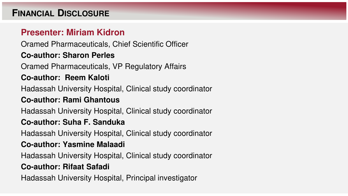#### **FINANCIAL DISCLOSURE**

#### **Presenter: Miriam Kidron**

Oramed Pharmaceuticals, Chief Scientific Officer

#### **Co-author: Sharon Perles**

Oramed Pharmaceuticals, VP Regulatory Affairs

#### **Co-author: Reem Kaloti**

Hadassah University Hospital, Clinical study coordinator

#### **Co-author: Rami Ghantous**

Hadassah University Hospital, Clinical study coordinator

#### **Co-author: Suha F. Sanduka**

Hadassah University Hospital, Clinical study coordinator

#### **Co-author: Yasmine Malaadi**

Hadassah University Hospital, Clinical study coordinator

#### **Co-author: Rifaat Safadi**

Hadassah University Hospital, Principal investigator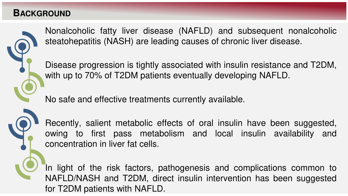#### **BACKGROUND**



Nonalcoholic fatty liver disease (NAFLD) and subsequent nonalcoholic steatohepatitis (NASH) are leading causes of chronic liver disease.

Disease progression is tightly associated with insulin resistance and T2DM, with up to 70% of T2DM patients eventually developing NAFLD.

No safe and effective treatments currently available.

Recently, salient metabolic effects of oral insulin have been suggested, owing to first pass metabolism and local insulin availability and concentration in liver fat cells.

In light of the risk factors, pathogenesis and complications common to NAFLD/NASH and T2DM, direct insulin intervention has been suggested for T2DM patients with NAFLD.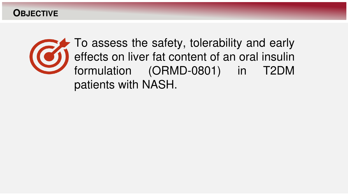**OBJECTIVE**



To assess the safety, tolerability and early effects on liver fat content of an oral insulin formulation (ORMD-0801) in T2DM patients with NASH.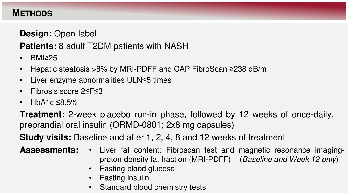#### **METHODS**

#### **Design:** Open-label

### **Patients:** 8 adult T2DM patients with NASH

- BMI≥25
- Hepatic steatosis >8% by MRI-PDFF and CAP FibroScan ≥238 dB/m
- Liver enzyme abnormalities ULN≤5 times
- Fibrosis score 2≤F≤3
- HbA1c  $\leq$ 8.5%

**Treatment:** 2-week placebo run-in phase, followed by 12 weeks of once-daily, preprandial oral insulin (ORMD-0801; 2x8 mg capsules)

**Study visits:** Baseline and after 1, 2, 4, 8 and 12 weeks of treatment

**Assessments:** • Liver fat content: Fibroscan test and magnetic resonance imagingproton density fat fraction (MRI-PDFF) – (Baseline and Week 12 only)

- Fasting blood glucose
- Fasting insulin
- Standard blood chemistry tests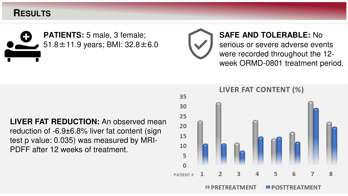#### **RESULTS**



**SAFE AND TOLERABLE:** No serious or severe adverse events were recorded throughout the 12 week ORMD-0801 treatment period.

30 25 **LIVER FAT REDUCTION:** An observed mean 20 reduction of -6.9±6.8% liver fat content (sign 15 test p value: 0.035) was measured by MRI-10 PDFF after 12 weeks of treatment.

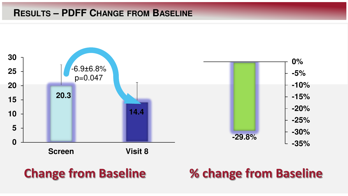#### **RESULTS – PDFF CHANGE FROM BASELINE**



## **Change from Baseline % change from Baseline**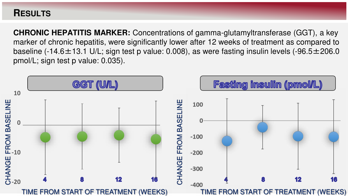#### **RESULTS**

**CHRONIC HEPATITIS MARKER:** Concentrations of gamma-glutamyltransferase (GGT), a key marker of chronic hepatitis, were significantly lower after 12 weeks of treatment as compared to baseline (-14.6 $\pm$ 13.1 U/L; sign test p value: 0.008), as were fasting insulin levels (-96.5 $\pm$ 206.0 pmol/L; sign test p value: 0.035).